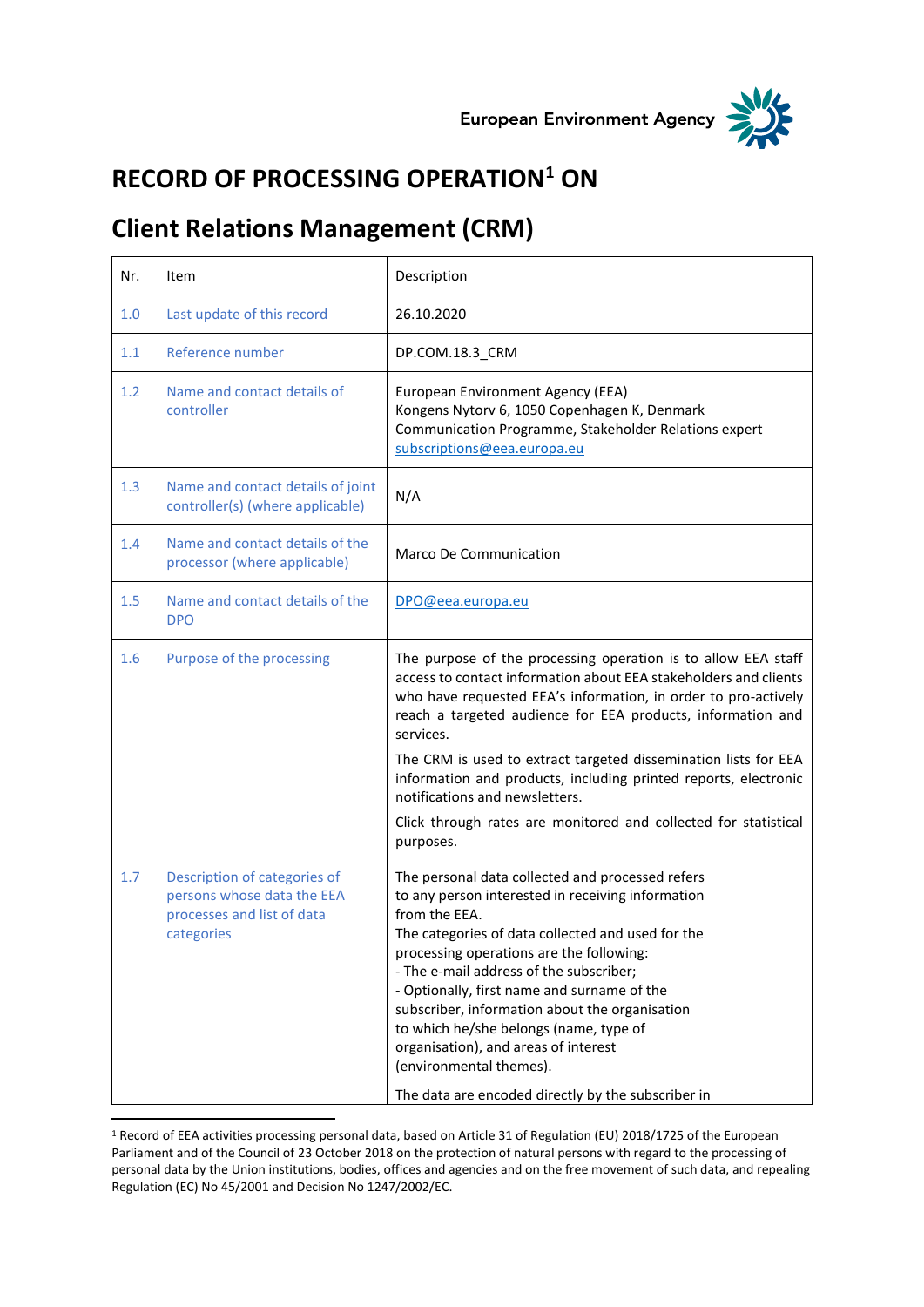



## **RECORD OF PROCESSING OPERATION<sup>1</sup> ON**

## **Client Relations Management (CRM)**

| Nr. | Item                                                                                                   | Description                                                                                                                                                                                                                                                                                                                                                                                                                                                                                                                            |
|-----|--------------------------------------------------------------------------------------------------------|----------------------------------------------------------------------------------------------------------------------------------------------------------------------------------------------------------------------------------------------------------------------------------------------------------------------------------------------------------------------------------------------------------------------------------------------------------------------------------------------------------------------------------------|
| 1.0 | Last update of this record                                                                             | 26.10.2020                                                                                                                                                                                                                                                                                                                                                                                                                                                                                                                             |
| 1.1 | Reference number                                                                                       | DP.COM.18.3_CRM                                                                                                                                                                                                                                                                                                                                                                                                                                                                                                                        |
| 1.2 | Name and contact details of<br>controller                                                              | European Environment Agency (EEA)<br>Kongens Nytorv 6, 1050 Copenhagen K, Denmark<br>Communication Programme, Stakeholder Relations expert<br>subscriptions@eea.europa.eu                                                                                                                                                                                                                                                                                                                                                              |
| 1.3 | Name and contact details of joint<br>controller(s) (where applicable)                                  | N/A                                                                                                                                                                                                                                                                                                                                                                                                                                                                                                                                    |
| 1.4 | Name and contact details of the<br>processor (where applicable)                                        | <b>Marco De Communication</b>                                                                                                                                                                                                                                                                                                                                                                                                                                                                                                          |
| 1.5 | Name and contact details of the<br><b>DPO</b>                                                          | DPO@eea.europa.eu                                                                                                                                                                                                                                                                                                                                                                                                                                                                                                                      |
| 1.6 | Purpose of the processing                                                                              | The purpose of the processing operation is to allow EEA staff<br>access to contact information about EEA stakeholders and clients<br>who have requested EEA's information, in order to pro-actively<br>reach a targeted audience for EEA products, information and<br>services.<br>The CRM is used to extract targeted dissemination lists for EEA<br>information and products, including printed reports, electronic                                                                                                                  |
|     |                                                                                                        | notifications and newsletters.<br>Click through rates are monitored and collected for statistical<br>purposes.                                                                                                                                                                                                                                                                                                                                                                                                                         |
| 1.7 | Description of categories of<br>persons whose data the EEA<br>processes and list of data<br>categories | The personal data collected and processed refers<br>to any person interested in receiving information<br>from the EEA.<br>The categories of data collected and used for the<br>processing operations are the following:<br>- The e-mail address of the subscriber;<br>- Optionally, first name and surname of the<br>subscriber, information about the organisation<br>to which he/she belongs (name, type of<br>organisation), and areas of interest<br>(environmental themes).<br>The data are encoded directly by the subscriber in |

<sup>1</sup> Record of EEA activities processing personal data, based on Article 31 of Regulation (EU) 2018/1725 of the European Parliament and of the Council of 23 October 2018 on the protection of natural persons with regard to the processing of personal data by the Union institutions, bodies, offices and agencies and on the free movement of such data, and repealing Regulation (EC) No 45/2001 and Decision No 1247/2002/EC.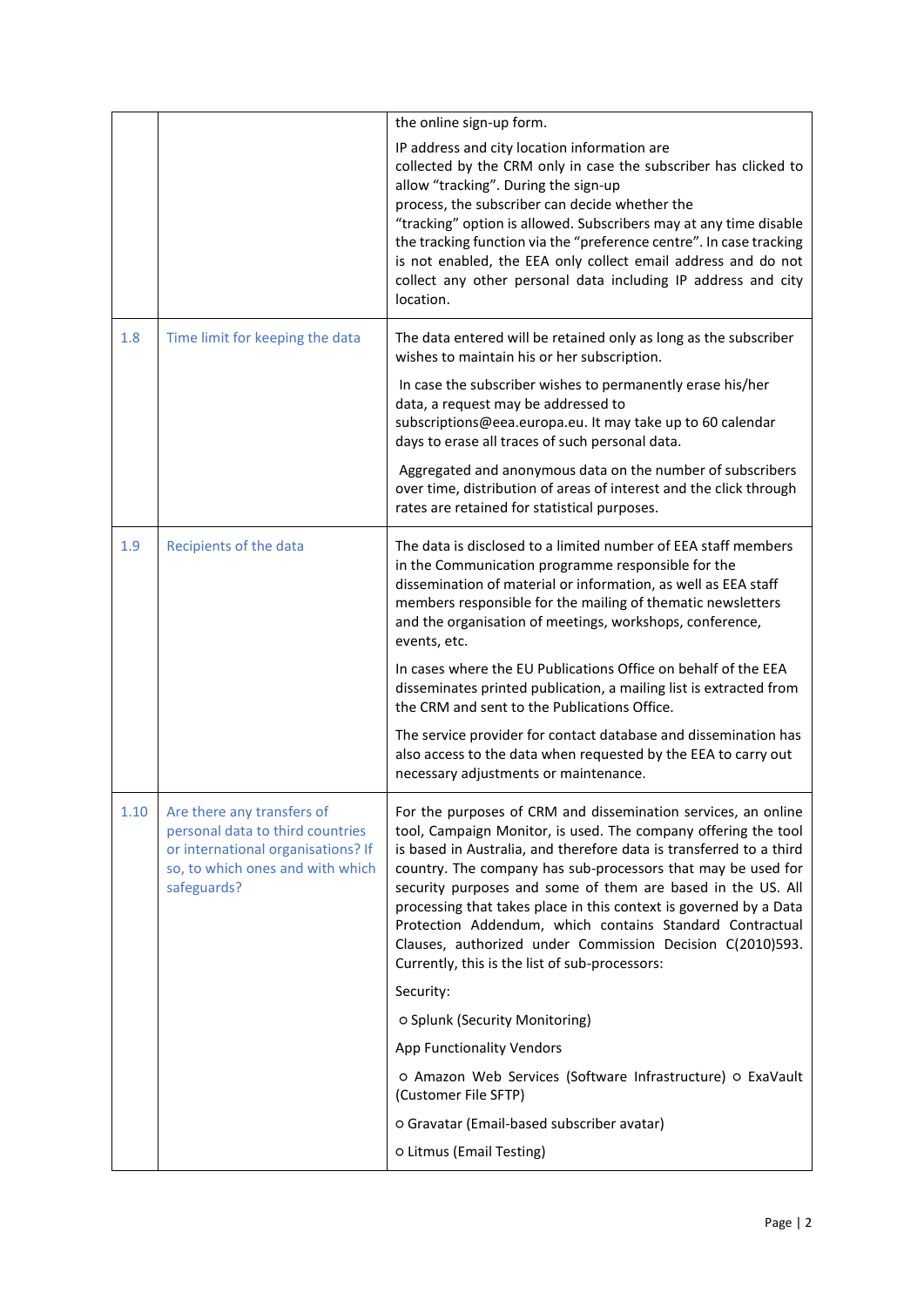|      |                                                                                                                                                         | the online sign-up form.                                                                                                                                                                                                                                                                                                                                                                                                                                                                                                                                                              |
|------|---------------------------------------------------------------------------------------------------------------------------------------------------------|---------------------------------------------------------------------------------------------------------------------------------------------------------------------------------------------------------------------------------------------------------------------------------------------------------------------------------------------------------------------------------------------------------------------------------------------------------------------------------------------------------------------------------------------------------------------------------------|
|      |                                                                                                                                                         | IP address and city location information are<br>collected by the CRM only in case the subscriber has clicked to<br>allow "tracking". During the sign-up<br>process, the subscriber can decide whether the<br>"tracking" option is allowed. Subscribers may at any time disable<br>the tracking function via the "preference centre". In case tracking<br>is not enabled, the EEA only collect email address and do not<br>collect any other personal data including IP address and city<br>location.                                                                                  |
| 1.8  | Time limit for keeping the data                                                                                                                         | The data entered will be retained only as long as the subscriber<br>wishes to maintain his or her subscription.                                                                                                                                                                                                                                                                                                                                                                                                                                                                       |
|      |                                                                                                                                                         | In case the subscriber wishes to permanently erase his/her<br>data, a request may be addressed to<br>subscriptions@eea.europa.eu. It may take up to 60 calendar<br>days to erase all traces of such personal data.                                                                                                                                                                                                                                                                                                                                                                    |
|      |                                                                                                                                                         | Aggregated and anonymous data on the number of subscribers<br>over time, distribution of areas of interest and the click through<br>rates are retained for statistical purposes.                                                                                                                                                                                                                                                                                                                                                                                                      |
| 1.9  | Recipients of the data                                                                                                                                  | The data is disclosed to a limited number of EEA staff members<br>in the Communication programme responsible for the<br>dissemination of material or information, as well as EEA staff<br>members responsible for the mailing of thematic newsletters<br>and the organisation of meetings, workshops, conference,<br>events, etc.                                                                                                                                                                                                                                                     |
|      |                                                                                                                                                         | In cases where the EU Publications Office on behalf of the EEA<br>disseminates printed publication, a mailing list is extracted from<br>the CRM and sent to the Publications Office.                                                                                                                                                                                                                                                                                                                                                                                                  |
|      |                                                                                                                                                         | The service provider for contact database and dissemination has<br>also access to the data when requested by the EEA to carry out<br>necessary adjustments or maintenance.                                                                                                                                                                                                                                                                                                                                                                                                            |
| 1.10 | Are there any transfers of<br>personal data to third countries<br>or international organisations? If<br>so, to which ones and with which<br>safeguards? | For the purposes of CRM and dissemination services, an online<br>tool, Campaign Monitor, is used. The company offering the tool<br>is based in Australia, and therefore data is transferred to a third<br>country. The company has sub-processors that may be used for<br>security purposes and some of them are based in the US. All<br>processing that takes place in this context is governed by a Data<br>Protection Addendum, which contains Standard Contractual<br>Clauses, authorized under Commission Decision C(2010)593.<br>Currently, this is the list of sub-processors: |
|      |                                                                                                                                                         | Security:                                                                                                                                                                                                                                                                                                                                                                                                                                                                                                                                                                             |
|      |                                                                                                                                                         | o Splunk (Security Monitoring)                                                                                                                                                                                                                                                                                                                                                                                                                                                                                                                                                        |
|      |                                                                                                                                                         | <b>App Functionality Vendors</b>                                                                                                                                                                                                                                                                                                                                                                                                                                                                                                                                                      |
|      |                                                                                                                                                         | o Amazon Web Services (Software Infrastructure) o ExaVault<br>(Customer File SFTP)                                                                                                                                                                                                                                                                                                                                                                                                                                                                                                    |
|      |                                                                                                                                                         | o Gravatar (Email-based subscriber avatar)                                                                                                                                                                                                                                                                                                                                                                                                                                                                                                                                            |
|      |                                                                                                                                                         | o Litmus (Email Testing)                                                                                                                                                                                                                                                                                                                                                                                                                                                                                                                                                              |